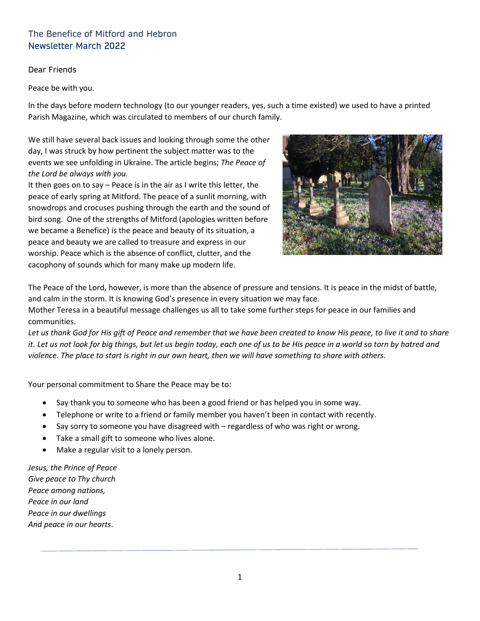# The Benefice of Mitford and Hebron Newsletter March 2022

#### Dear Friends

Peace be with you.

In the days before modern technology (to our younger readers, yes, such a time existed) we used to have a printed Parish Magazine, which was circulated to members of our church family.

We still have several back issues and looking through some the other day, I was struck by how pertinent the subject matter was to the events we see unfolding in Ukraine. The article begins; *The Peace of the Lord be always with you.*

It then goes on to say – Peace is in the air as I write this letter, the peace of early spring at Mitford. The peace of a sunlit morning, with snowdrops and crocuses pushing through the earth and the sound of bird song. One of the strengths of Mitford (apologies written before we became a Benefice) is the peace and beauty of its situation, a peace and beauty we are called to treasure and express in our worship. Peace which is the absence of conflict, clutter, and the cacophony of sounds which for many make up modern life.



The Peace of the Lord, however, is more than the absence of pressure and tensions. It is peace in the midst of battle, and calm in the storm. It is knowing God's presence in every situation we may face.

Mother Teresa in a beautiful message challenges us all to take some further steps for peace in our families and communities.

*Let us thank God for His gift of Peace and remember that we have been created to know His peace, to live it and to share it. Let us not look for big things, but let us begin today, each one of us to be His peace in a world so torn by hatred and violence. The place to start is right in our own heart, then we will have something to share with others.*

Your personal commitment to Share the Peace may be to:

- Say thank you to someone who has been a good friend or has helped you in some way.
- Telephone or write to a friend or family member you haven't been in contact with recently.
- Say sorry to someone you have disagreed with regardless of who was right or wrong.
- Take a small gift to someone who lives alone.
- Make a regular visit to a lonely person.

*Jesus, the Prince of Peace Give peace to Thy church Peace among nations, Peace in our land Peace in our dwellings And peace in our hearts*.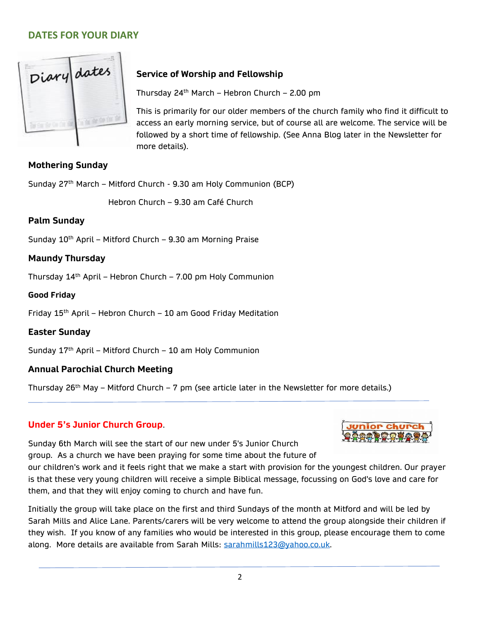# **DATES FOR YOUR DIARY**



# **Service of Worship and Fellowship**

Thursday 24th March – Hebron Church – 2.00 pm

This is primarily for our older members of the church family who find it difficult to access an early morning service, but of course all are welcome. The service will be followed by a short time of fellowship. (See Anna Blog later in the Newsletter for more details).

## **Mothering Sunday**

Sunday 27<sup>th</sup> March – Mitford Church - 9.30 am Holy Communion (BCP)

Hebron Church – 9.30 am Café Church

## **Palm Sunday**

Sunday  $10^{th}$  April – Mitford Church – 9.30 am Morning Praise

## **Maundy Thursday**

Thursday 14th April – Hebron Church – 7.00 pm Holy Communion

### **Good Friday**

Friday  $15<sup>th</sup>$  April – Hebron Church – 10 am Good Friday Meditation

## **Easter Sunday**

Sunday  $17<sup>th</sup>$  April – Mitford Church – 10 am Holy Communion

## **Annual Parochial Church Meeting**

Thursday 26<sup>th</sup> May – Mitford Church – 7 pm (see article later in the Newsletter for more details.)

# **Under 5's Junior Church Group**.



Sunday 6th March will see the start of our new under 5's Junior Church group. As a church we have been praying for some time about the future of

our children's work and it feels right that we make a start with provision for the youngest children. Our prayer is that these very young children will receive a simple Biblical message, focussing on God's love and care for them, and that they will enjoy coming to church and have fun.

Initially the group will take place on the first and third Sundays of the month at Mitford and will be led by Sarah Mills and Alice Lane. Parents/carers will be very welcome to attend the group alongside their children if they wish. If you know of any families who would be interested in this group, please encourage them to come along. More details are available from Sarah Mills: [sarahmills123@yahoo.co.uk.](mailto:sarahmills123@yahoo.co.uk)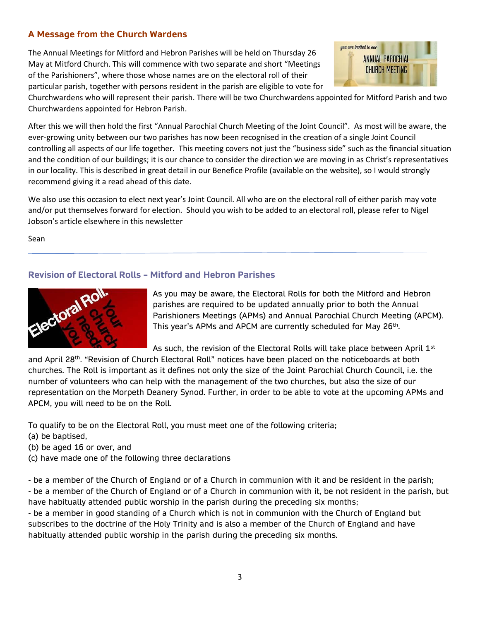## **A Message from the Church Wardens**

The Annual Meetings for Mitford and Hebron Parishes will be held on Thursday 26 May at Mitford Church. This will commence with two separate and short "Meetings of the Parishioners", where those whose names are on the electoral roll of their particular parish, together with persons resident in the parish are eligible to vote for



Churchwardens who will represent their parish. There will be two Churchwardens appointed for Mitford Parish and two Churchwardens appointed for Hebron Parish.

After this we will then hold the first "Annual Parochial Church Meeting of the Joint Council". As most will be aware, the ever-growing unity between our two parishes has now been recognised in the creation of a single Joint Council controlling all aspects of our life together. This meeting covers not just the "business side" such as the financial situation and the condition of our buildings; it is our chance to consider the direction we are moving in as Christ's representatives in our locality. This is described in great detail in our Benefice Profile (available on the website), so I would strongly recommend giving it a read ahead of this date.

We also use this occasion to elect next year's Joint Council. All who are on the electoral roll of either parish may vote and/or put themselves forward for election. Should you wish to be added to an electoral roll, please refer to Nigel Jobson's article elsewhere in this newsletter

Sean

## **Revision of Electoral Rolls – Mitford and Hebron Parishes**



As you may be aware, the Electoral Rolls for both the Mitford and Hebron parishes are required to be updated annually prior to both the Annual Parishioners Meetings (APMs) and Annual Parochial Church Meeting (APCM). This year's APMs and APCM are currently scheduled for May 26<sup>th</sup>.

As such, the revision of the Electoral Rolls will take place between April  $1<sup>st</sup>$ 

and April 28<sup>th</sup>. "Revision of Church Electoral Roll" notices have been placed on the noticeboards at both churches. The Roll is important as it defines not only the size of the Joint Parochial Church Council, i.e. the number of volunteers who can help with the management of the two churches, but also the size of our representation on the Morpeth Deanery Synod. Further, in order to be able to vote at the upcoming APMs and APCM, you will need to be on the Roll.

To qualify to be on the Electoral Roll, you must meet one of the following criteria;

- (a) be baptised,
- (b) be aged 16 or over, and
- (c) have made one of the following three declarations

- be a member of the Church of England or of a Church in communion with it and be resident in the parish; - be a member of the Church of England or of a Church in communion with it, be not resident in the parish, but have habitually attended public worship in the parish during the preceding six months;

- be a member in good standing of a Church which is not in communion with the Church of England but subscribes to the doctrine of the Holy Trinity and is also a member of the Church of England and have habitually attended public worship in the parish during the preceding six months.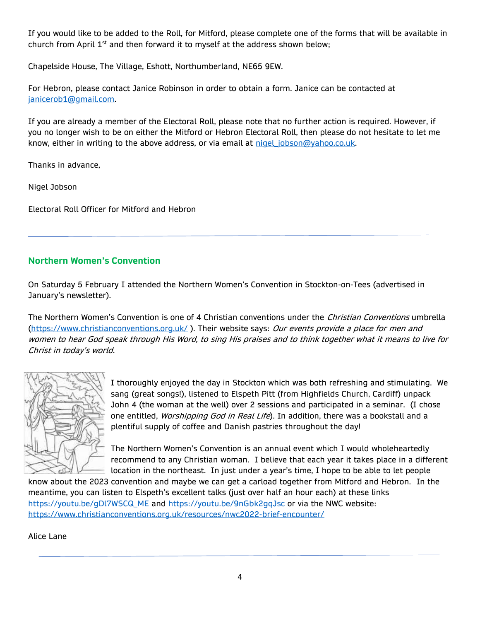If you would like to be added to the Roll, for Mitford, please complete one of the forms that will be available in church from April  $1<sup>st</sup>$  and then forward it to myself at the address shown below;

Chapelside House, The Village, Eshott, Northumberland, NE65 9EW.

For Hebron, please contact Janice Robinson in order to obtain a form. Janice can be contacted at [janicerob1@gmail.com.](mailto:janicerob1@gmail.com)

If you are already a member of the Electoral Roll, please note that no further action is required. However, if you no longer wish to be on either the Mitford or Hebron Electoral Roll, then please do not hesitate to let me know, either in writing to the above address, or via email at nigel jobson@yahoo.co.uk.

Thanks in advance,

Nigel Jobson

Electoral Roll Officer for Mitford and Hebron

## **Northern Women's Convention**

On Saturday 5 February I attended the Northern Women's Convention in Stockton-on-Tees (advertised in January's newsletter).

The Northern Women's Convention is one of 4 Christian conventions under the *Christian Conventions* umbrella [\(https://www.christianconventions.org.uk/](https://www.christianconventions.org.uk/)). Their website says: Our events provide a place for men and women to hear God speak through His Word, to sing His praises and to think together what it means to live for Christ in today's world.



I thoroughly enjoyed the day in Stockton which was both refreshing and stimulating. We sang (great songs!), listened to Elspeth Pitt (from Highfields Church, Cardiff) unpack John 4 (the woman at the well) over 2 sessions and participated in a seminar. (I chose one entitled, *Worshipping God in Real Life*). In addition, there was a bookstall and a plentiful supply of coffee and Danish pastries throughout the day!

The Northern Women's Convention is an annual event which I would wholeheartedly recommend to any Christian woman. I believe that each year it takes place in a different location in the northeast. In just under a year's time, I hope to be able to let people

know about the 2023 convention and maybe we can get a carload together from Mitford and Hebron. In the meantime, you can listen to Elspeth's excellent talks (just over half an hour each) at these links [https://youtu.be/gDl7WSCQ\\_ME](https://youtu.be/gDl7WSCQ_ME) and<https://youtu.be/9nGbk2gqJsc> or via the NWC website: <https://www.christianconventions.org.uk/resources/nwc2022-brief-encounter/>

Alice Lane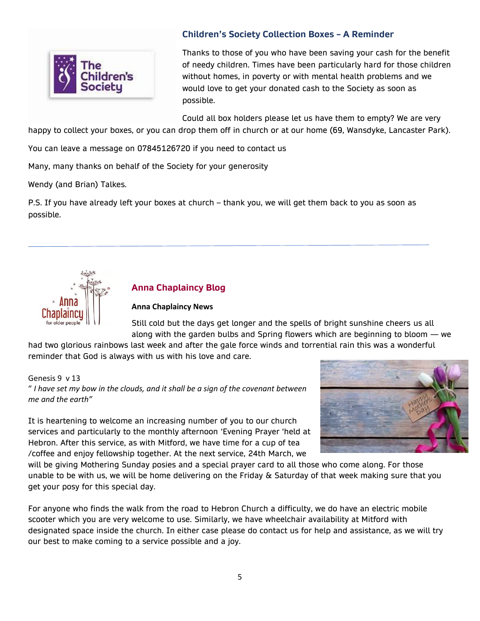

## **Children's Society Collection Boxes – A Reminder**

Thanks to those of you who have been saving your cash for the benefit of needy children. Times have been particularly hard for those children without homes, in poverty or with mental health problems and we would love to get your donated cash to the Society as soon as possible.

Could all box holders please let us have them to empty? We are very happy to collect your boxes, or you can drop them off in church or at our home (69, Wansdyke, Lancaster Park).

You can leave a message on 07845126720 if you need to contact us

Many, many thanks on behalf of the Society for your generosity

Wendy (and Brian) Talkes.

P.S. If you have already left your boxes at church – thank you, we will get them back to you as soon as possible.



## **Anna Chaplaincy Blog**

#### **Anna Chaplaincy News**

Still cold but the days get longer and the spells of bright sunshine cheers us all along with the garden bulbs and Spring flowers which are beginning to bloom — we

had two glorious rainbows last week and after the gale force winds and torrential rain this was a wonderful reminder that God is always with us with his love and care.

Genesis 9 v 13 " *I have set my bow in the clouds, and it shall be a sign of the covenant between me and the earth"*

It is heartening to welcome an increasing number of you to our church services and particularly to the monthly afternoon 'Evening Prayer 'held at Hebron. After this service, as with Mitford, we have time for a cup of tea /coffee and enjoy fellowship together. At the next service, 24th March, we



will be giving Mothering Sunday posies and a special prayer card to all those who come along. For those unable to be with us, we will be home delivering on the Friday & Saturday of that week making sure that you get your posy for this special day.

For anyone who finds the walk from the road to Hebron Church a difficulty, we do have an electric mobile scooter which you are very welcome to use. Similarly, we have wheelchair availability at Mitford with designated space inside the church. In either case please do contact us for help and assistance, as we will try our best to make coming to a service possible and a joy.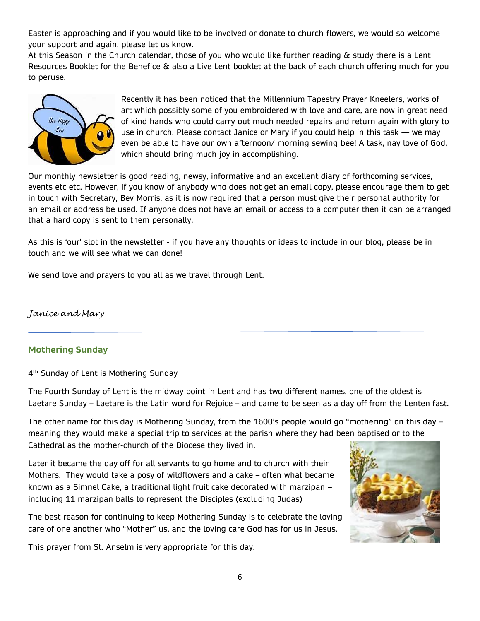Easter is approaching and if you would like to be involved or donate to church flowers, we would so welcome your support and again, please let us know.

At this Season in the Church calendar, those of you who would like further reading & study there is a Lent Resources Booklet for the Benefice & also a Live Lent booklet at the back of each church offering much for you to peruse.



Recently it has been noticed that the Millennium Tapestry Prayer Kneelers, works of art which possibly some of you embroidered with love and care, are now in great need of kind hands who could carry out much needed repairs and return again with glory to use in church. Please contact Janice or Mary if you could help in this task — we may even be able to have our own afternoon/ morning sewing bee! A task, nay love of God, which should bring much joy in accomplishing.

Our monthly newsletter is good reading, newsy, informative and an excellent diary of forthcoming services, events etc etc. However, if you know of anybody who does not get an email copy, please encourage them to get in touch with Secretary, Bev Morris, as it is now required that a person must give their personal authority for an email or address be used. If anyone does not have an email or access to a computer then it can be arranged that a hard copy is sent to them personally.

As this is 'our' slot in the newsletter - if you have any thoughts or ideas to include in our blog, please be in touch and we will see what we can done!

We send love and prayers to you all as we travel through Lent.

*Janice and Mary*

## **Mothering Sunday**

4<sup>th</sup> Sunday of Lent is Mothering Sunday

The Fourth Sunday of Lent is the midway point in Lent and has two different names, one of the oldest is Laetare Sunday – Laetare is the Latin word for Rejoice – and came to be seen as a day off from the Lenten fast.

The other name for this day is Mothering Sunday, from the 1600's people would go "mothering" on this day – meaning they would make a special trip to services at the parish where they had been baptised or to the Cathedral as the mother-church of the Diocese they lived in.

Later it became the day off for all servants to go home and to church with their Mothers. They would take a posy of wildflowers and a cake – often what became known as a Simnel Cake, a traditional light fruit cake decorated with marzipan – including 11 marzipan balls to represent the Disciples (excluding Judas)

The best reason for continuing to keep Mothering Sunday is to celebrate the loving care of one another who "Mother" us, and the loving care God has for us in Jesus.

This prayer from St. Anselm is very appropriate for this day.

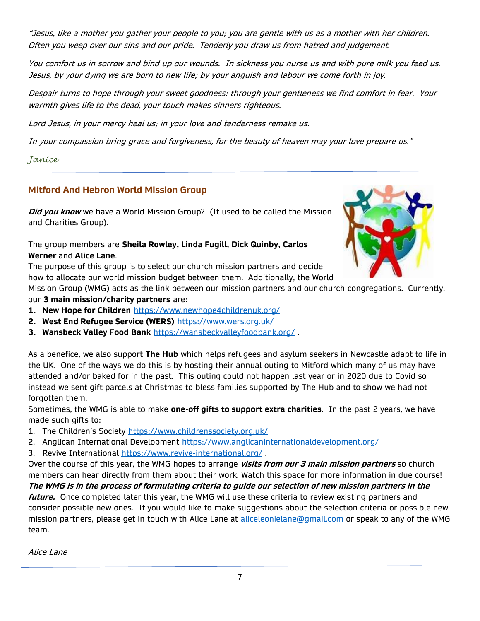"Jesus, like a mother you gather your people to you; you are gentle with us as a mother with her children. Often you weep over our sins and our pride. Tenderly you draw us from hatred and judgement.

You comfort us in sorrow and bind up our wounds. In sickness you nurse us and with pure milk you feed us. Jesus, by your dying we are born to new life; by your anguish and labour we come forth in joy.

Despair turns to hope through your sweet goodness; through your gentleness we find comfort in fear. Your warmth gives life to the dead, your touch makes sinners righteous.

Lord Jesus, in your mercy heal us; in your love and tenderness remake us.

In your compassion bring grace and forgiveness, for the beauty of heaven may your love prepare us."

*Janice*

## **Mitford And Hebron World Mission Group**

**Did you know** we have a World Mission Group? (It used to be called the Mission and Charities Group).

The group members are **Sheila Rowley, Linda Fugill, Dick Quinby, Carlos Werner** and **Alice Lane**.

The purpose of this group is to select our church mission partners and decide how to allocate our world mission budget between them. Additionally, the World

Mission Group (WMG) acts as the link between our mission partners and our church congregations. Currently,

our **3 main mission/charity partners** are:

- **1. New Hope for Children** <https://www.newhope4childrenuk.org/>
- **2. West End Refugee Service (WERS)** <https://www.wers.org.uk/>
- **3. Wansbeck Valley Food Bank** <https://wansbeckvalleyfoodbank.org/> .

As a benefice, we also support **The Hub** which helps refugees and asylum seekers in Newcastle adapt to life in the UK. One of the ways we do this is by hosting their annual outing to Mitford which many of us may have attended and/or baked for in the past. This outing could not happen last year or in 2020 due to Covid so instead we sent gift parcels at Christmas to bless families supported by The Hub and to show we had not forgotten them.

Sometimes, the WMG is able to make **one-off gifts to support extra charities**. In the past 2 years, we have made such gifts to:

- 1. The Children's Society <https://www.childrenssociety.org.uk/>
- 2. Anglican International Development<https://www.anglicaninternationaldevelopment.org/>
- 3. Revive International<https://www.revive-international.org/>.

Over the course of this year, the WMG hopes to arrange **visits from our 3 main mission partners** so church members can hear directly from them about their work. Watch this space for more information in due course! **The WMG is in the process of formulating criteria to guide our selection of new mission partners in the** 

**future.** Once completed later this year, the WMG will use these criteria to review existing partners and consider possible new ones. If you would like to make suggestions about the selection criteria or possible new mission partners, please get in touch with Alice Lane at [aliceleonielane@gmail.com](mailto:aliceleonielane@gmail.com) or speak to any of the WMG team.

Alice Lane

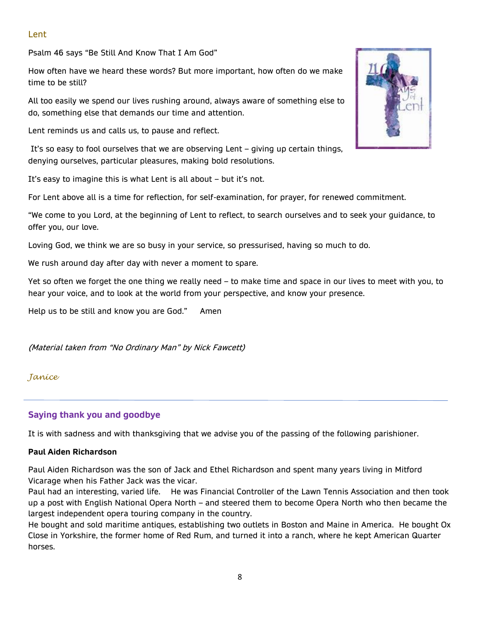### Lent

Psalm 46 says "Be Still And Know That I Am God"

How often have we heard these words? But more important, how often do we make time to be still?

All too easily we spend our lives rushing around, always aware of something else to do, something else that demands our time and attention.

Lent reminds us and calls us, to pause and reflect.

It's so easy to fool ourselves that we are observing Lent – giving up certain things, denying ourselves, particular pleasures, making bold resolutions.

It's easy to imagine this is what Lent is all about – but it's not.

For Lent above all is a time for reflection, for self-examination, for prayer, for renewed commitment.

"We come to you Lord, at the beginning of Lent to reflect, to search ourselves and to seek your guidance, to offer you, our love.

Loving God, we think we are so busy in your service, so pressurised, having so much to do.

We rush around day after day with never a moment to spare.

Yet so often we forget the one thing we really need – to make time and space in our lives to meet with you, to hear your voice, and to look at the world from your perspective, and know your presence.

Help us to be still and know you are God." Amen

(Material taken from "No Ordinary Man" by Nick Fawcett)

#### *Janice*

## **Saying thank you and goodbye**

It is with sadness and with thanksgiving that we advise you of the passing of the following parishioner.

#### **Paul Aiden Richardson**

Paul Aiden Richardson was the son of Jack and Ethel Richardson and spent many years living in Mitford Vicarage when his Father Jack was the vicar.

Paul had an interesting, varied life. He was Financial Controller of the Lawn Tennis Association and then took up a post with English National Opera North – and steered them to become Opera North who then became the largest independent opera touring company in the country.

He bought and sold maritime antiques, establishing two outlets in Boston and Maine in America. He bought Ox Close in Yorkshire, the former home of Red Rum, and turned it into a ranch, where he kept American Quarter horses.

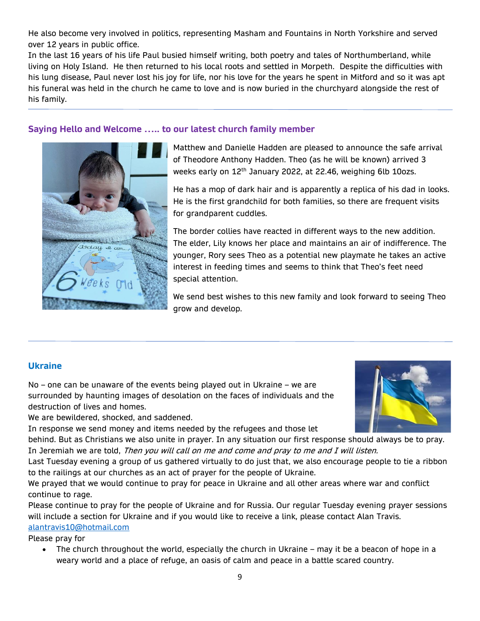He also become very involved in politics, representing Masham and Fountains in North Yorkshire and served over 12 years in public office.

In the last 16 years of his life Paul busied himself writing, both poetry and tales of Northumberland, while living on Holy Island. He then returned to his local roots and settled in Morpeth. Despite the difficulties with his lung disease, Paul never lost his joy for life, nor his love for the years he spent in Mitford and so it was apt his funeral was held in the church he came to love and is now buried in the churchyard alongside the rest of his family.

### **Saying Hello and Welcome ….. to our latest church family member**



Matthew and Danielle Hadden are pleased to announce the safe arrival of Theodore Anthony Hadden. Theo (as he will be known) arrived 3 weeks early on 12<sup>th</sup> January 2022, at 22.46, weighing 6lb 10ozs.

He has a mop of dark hair and is apparently a replica of his dad in looks. He is the first grandchild for both families, so there are frequent visits for grandparent cuddles.

The border collies have reacted in different ways to the new addition. The elder, Lily knows her place and maintains an air of indifference. The younger, Rory sees Theo as a potential new playmate he takes an active interest in feeding times and seems to think that Theo's feet need special attention.

We send best wishes to this new family and look forward to seeing Theo grow and develop.

### **Ukraine**

No – one can be unaware of the events being played out in Ukraine – we are surrounded by haunting images of desolation on the faces of individuals and the destruction of lives and homes.

We are bewildered, shocked, and saddened.

In response we send money and items needed by the refugees and those let

behind. But as Christians we also unite in prayer. In any situation our first response should always be to pray. In Jeremiah we are told, Then you will call on me and come and pray to me and I will listen.

Last Tuesday evening a group of us gathered virtually to do just that, we also encourage people to tie a ribbon to the railings at our churches as an act of prayer for the people of Ukraine.

We prayed that we would continue to pray for peace in Ukraine and all other areas where war and conflict continue to rage.

Please continue to pray for the people of Ukraine and for Russia. Our regular Tuesday evening prayer sessions will include a section for Ukraine and if you would like to receive a link, please contact Alan Travis. [alantravis10@hotmail.com](mailto:alantravis10@hotmail.com)

Please pray for

• The church throughout the world, especially the church in Ukraine – may it be a beacon of hope in a weary world and a place of refuge, an oasis of calm and peace in a battle scared country.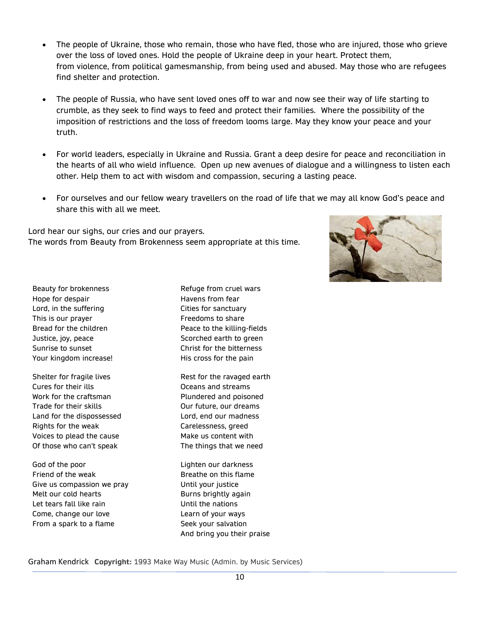- The people of Ukraine, those who remain, those who have fled, those who are injured, those who grieve over the loss of loved ones. Hold the people of Ukraine deep in your heart. Protect them, from violence, from political gamesmanship, from being used and abused. May those who are refugees find shelter and protection.
- The people of Russia, who have sent loved ones off to war and now see their way of life starting to crumble, as they seek to find ways to feed and protect their families. Where the possibility of the imposition of restrictions and the loss of freedom looms large. May they know your peace and your truth.
- For world leaders, especially in Ukraine and Russia. Grant a deep desire for peace and reconciliation in the hearts of all who wield influence. Open up new avenues of dialogue and a willingness to listen each other. Help them to act with wisdom and compassion, securing a lasting peace.
- For ourselves and our fellow weary travellers on the road of life that we may all know God's peace and share this with all we meet.

Lord hear our sighs, our cries and our prayers. The words from Beauty from Brokenness seem appropriate at this time.



Beauty for brokenness Hope for despair Lord, in the suffering This is our prayer Bread for the children Justice, joy, peace Sunrise to sunset Your kingdom increase!

Shelter for fragile lives Cures for their ills Work for the craftsman Trade for their skills Land for the dispossessed Rights for the weak Voices to plead the cause Of those who can't speak

God of the poor Friend of the weak Give us compassion we pray Melt our cold hearts Let tears fall like rain Come, change our love From a spark to a flame

Refuge from cruel wars Havens from fear Cities for sanctuary Freedoms to share Peace to the killing-fields Scorched earth to green Christ for the bitterness His cross for the pain

Rest for the ravaged earth Oceans and streams Plundered and poisoned Our future, our dreams Lord, end our madness Carelessness, greed Make us content with The things that we need

Lighten our darkness Breathe on this flame Until your justice Burns brightly again Until the nations Learn of your ways Seek your salvation And bring you their praise

Graham Kendrick **Copyright:** 1993 Make Way Music (Admin. by Music Services)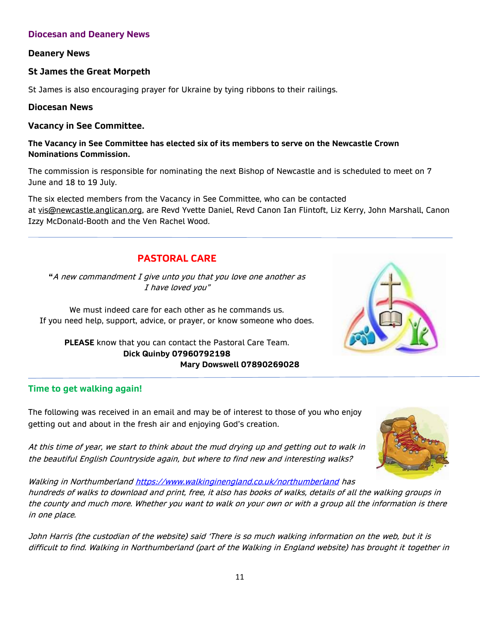### **Diocesan and Deanery News**

### **Deanery News**

### **St James the Great Morpeth**

St James is also encouraging prayer for Ukraine by tying ribbons to their railings.

#### **Diocesan News**

#### **Vacancy in See Committee.**

#### **The Vacancy in See Committee has elected six of its members to serve on the Newcastle Crown Nominations Commission.**

The commission is responsible for nominating the next Bishop of Newcastle and is scheduled to meet on 7 June and 18 to 19 July.

The six elected members from the Vacancy in See Committee, who can be contacted at [vis@newcastle.anglican.org,](mailto:vis@newcastle.anglican.org) are Revd Yvette Daniel, Revd Canon Ian Flintoft, Liz Kerry, John Marshall, Canon Izzy McDonald-Booth and the Ven Rachel Wood.

# **PASTORAL CARE**

**"**A new commandment I give unto you that you love one another as I have loved you"

We must indeed care for each other as he commands us. If you need help, support, advice, or prayer, or know someone who does.

**PLEASE** know that you can contact the Pastoral Care Team. **Dick Quinby 07960792198 Mary Dowswell 07890269028**

### **Time to get walking again!**

The following was received in an email and may be of interest to those of you who enjoy getting out and about in the fresh air and enjoying God's creation.

At this time of year, we start to think about the mud drying up and getting out to walk in the beautiful English Countryside again, but where to find new and interesting walks?



Walking in Northumberlan[d https://www.walkinginengland.co.uk/northumberland](https://www.walkinginengland.co.uk/northumberland) has hundreds of walks to download and print, free, it also has books of walks, details of all the walking groups in the county and much more. Whether you want to walk on your own or with a group all the information is there in one place.

John Harris (the custodian of the website) said 'There is so much walking information on the web, but it is difficult to find. Walking in Northumberland (part of the Walking in England website) has brought it together in

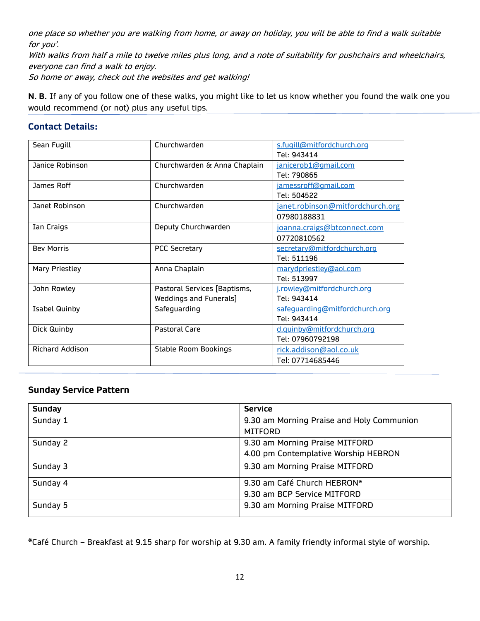one place so whether you are walking from home, or away on holiday, you will be able to find a walk suitable for you'.

With walks from half a mile to twelve miles plus long, and a note of suitability for pushchairs and wheelchairs, everyone can find a walk to enjoy.

So home or away, check out the websites and get walking!

**N. B.** If any of you follow one of these walks, you might like to let us know whether you found the walk one you would recommend (or not) plus any useful tips.

### **Contact Details:**

| Sean Fugill            | Churchwarden                 | s.fugill@mitfordchurch.org       |  |
|------------------------|------------------------------|----------------------------------|--|
|                        |                              | Tel: 943414                      |  |
| Janice Robinson        | Churchwarden & Anna Chaplain | janicerob1@gmail.com             |  |
|                        |                              | Tel: 790865                      |  |
| James Roff             | Churchwarden                 | jamessroff@gmail.com             |  |
|                        |                              | Tel: 504522                      |  |
| Janet Robinson         | Churchwarden                 | janet.robinson@mitfordchurch.org |  |
|                        |                              | 07980188831                      |  |
| Ian Craigs             | Deputy Churchwarden          | joanna.craigs@btconnect.com      |  |
|                        |                              | 07720810562                      |  |
| <b>Bev Morris</b>      | <b>PCC Secretary</b>         | secretary@mitfordchurch.org      |  |
|                        |                              | Tel: 511196                      |  |
| <b>Mary Priestley</b>  | Anna Chaplain                | marydpriestley@aol.com           |  |
|                        |                              | Tel: 513997                      |  |
| John Rowley            | Pastoral Services [Baptisms, | j.rowley@mitfordchurch.org       |  |
|                        | Weddings and Funerals]       | Tel: 943414                      |  |
| <b>Isabel Quinby</b>   | Safeguarding                 | safeguarding@mitfordchurch.org   |  |
|                        |                              | Tel: 943414                      |  |
| Dick Quinby            | <b>Pastoral Care</b>         | d.quinby@mitfordchurch.org       |  |
|                        |                              | Tel: 07960792198                 |  |
| <b>Richard Addison</b> | Stable Room Bookings         | rick.addison@aol.co.uk           |  |
|                        |                              | Tel: 07714685446                 |  |

### **Sunday Service Pattern**

| <b>Sunday</b> | <b>Service</b>                            |  |
|---------------|-------------------------------------------|--|
| Sunday 1      | 9.30 am Morning Praise and Holy Communion |  |
|               | <b>MITFORD</b>                            |  |
| Sunday 2      | 9.30 am Morning Praise MITFORD            |  |
|               | 4.00 pm Contemplative Worship HEBRON      |  |
| Sunday 3      | 9.30 am Morning Praise MITFORD            |  |
| Sunday 4      | 9.30 am Café Church HEBRON*               |  |
|               | 9.30 am BCP Service MITFORD               |  |
| Sunday 5      | 9.30 am Morning Praise MITFORD            |  |

**\***Café Church – Breakfast at 9.15 sharp for worship at 9.30 am. A family friendly informal style of worship.